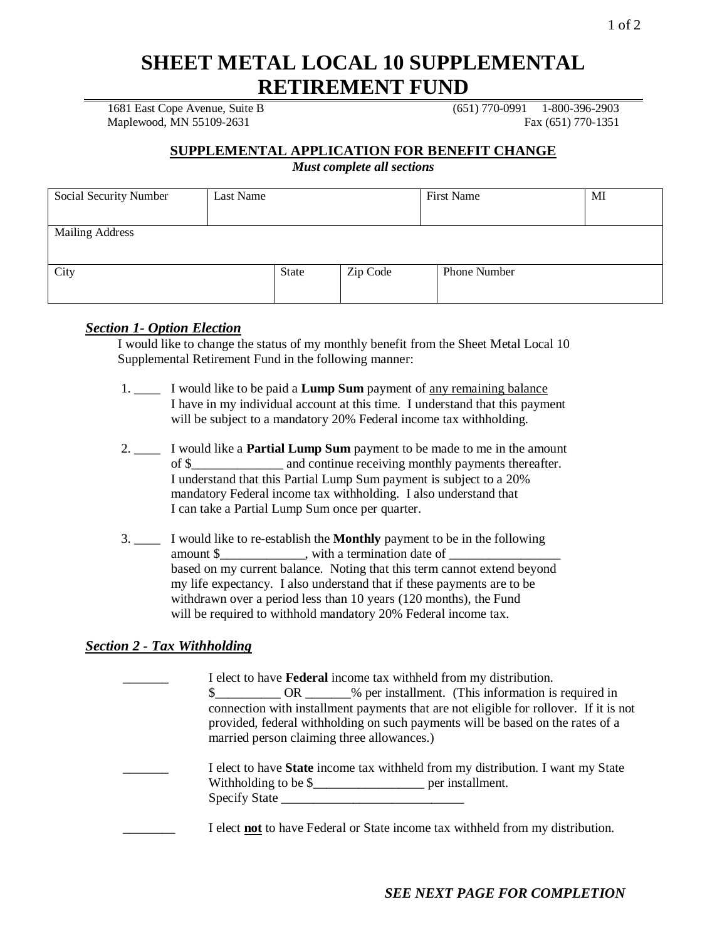# **SHEET METAL LOCAL 10 SUPPLEMENTAL RETIREMENT FUND**

1681 East Cope Avenue, Suite B (651) 770-0991 1-800-396-2903 Maplewood, MN 55109-2631 Fax (651) 770-1351

## **SUPPLEMENTAL APPLICATION FOR BENEFIT CHANGE**

*Must complete all sections*

| Social Security Number | Last Name |       |          | First Name          | MI |
|------------------------|-----------|-------|----------|---------------------|----|
| <b>Mailing Address</b> |           |       |          |                     |    |
| City                   |           | State | Zip Code | <b>Phone Number</b> |    |

#### *Section 1- Option Election*

I would like to change the status of my monthly benefit from the Sheet Metal Local 10 Supplemental Retirement Fund in the following manner:

- 1. \_\_\_\_ I would like to be paid a **Lump Sum** payment of any remaining balance I have in my individual account at this time. I understand that this payment will be subject to a mandatory 20% Federal income tax withholding.
- 2. \_\_\_\_ I would like a **Partial Lump Sum** payment to be made to me in the amount of \$\_\_\_\_\_\_\_\_\_\_\_\_\_\_ and continue receiving monthly payments thereafter. I understand that this Partial Lump Sum payment is subject to a 20% mandatory Federal income tax withholding. I also understand that I can take a Partial Lump Sum once per quarter.
- 3. \_\_\_\_ I would like to re-establish the **Monthly** payment to be in the following amount \$\_\_\_\_\_\_\_\_\_\_\_\_\_, with a termination date of \_\_\_\_\_\_\_\_\_\_\_\_\_\_\_\_\_\_\_\_\_\_\_\_\_\_\_\_\_\_\_ based on my current balance. Noting that this term cannot extend beyond my life expectancy. I also understand that if these payments are to be withdrawn over a period less than 10 years (120 months), the Fund will be required to withhold mandatory 20% Federal income tax.

## *Section 2 - Tax Withholding*

I elect to have **Federal** income tax withheld from my distribution. \$ OR % per installment. (This information is required in connection with installment payments that are not eligible for rollover. If it is not provided, federal withholding on such payments will be based on the rates of a married person claiming three allowances.) \_\_\_\_\_\_\_ I elect to have **State** income tax withheld from my distribution. I want my State Withholding to be \$\_\_\_\_\_\_\_\_\_\_\_\_\_\_\_\_\_ per installment. Specify State

I elect **not** to have Federal or State income tax withheld from my distribution.